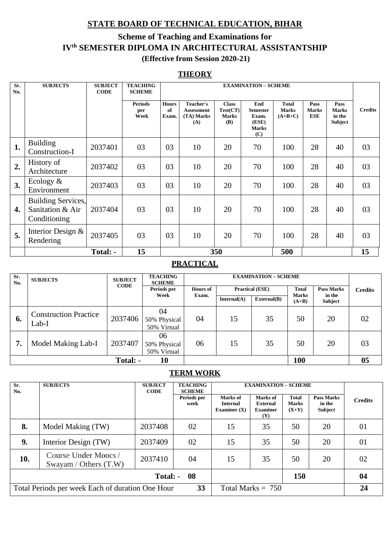# **STATE BOARD OF TECHNICAL EDUCATION, BIHAR**

## **Scheme of Teaching and Examinations for IVth SEMESTER DIPLOMA IN ARCHITECTURAL ASSISTANTSHIP (Effective from Session 2020-21)**

### **THEORY**

| Sr.<br>No.       | <b>SUBJECTS</b>                                        | <b>SUBJECT</b><br><b>CODE</b> | <b>TEACHING</b><br><b>SCHEME</b> |                             | <b>EXAMINATION - SCHEME</b>                         |                                                        |                                                                 |                                           |                                    |                                                  |                |
|------------------|--------------------------------------------------------|-------------------------------|----------------------------------|-----------------------------|-----------------------------------------------------|--------------------------------------------------------|-----------------------------------------------------------------|-------------------------------------------|------------------------------------|--------------------------------------------------|----------------|
|                  |                                                        |                               | <b>Periods</b><br>per<br>Week    | <b>Hours</b><br>of<br>Exam. | Teacher's<br><b>Assessment</b><br>(TA) Marks<br>(A) | <b>Class</b><br>Test(CT)<br><b>Marks</b><br><b>(B)</b> | End<br><b>Semester</b><br>Exam.<br>(ESE)<br><b>Marks</b><br>(C) | <b>Total</b><br><b>Marks</b><br>$(A+B+C)$ | Pass<br><b>Marks</b><br><b>ESE</b> | Pass<br><b>Marks</b><br>in the<br><b>Subject</b> | <b>Credits</b> |
| 1.               | <b>Building</b><br>Construction-I                      | 2037401                       | 03                               | 03                          | 10                                                  | 20                                                     | 70                                                              | 100                                       | 28                                 | 40                                               | 03             |
| 2.               | History of<br>Architecture                             | 2037402                       | 03                               | 03                          | 10                                                  | 20                                                     | 70                                                              | 100                                       | 28                                 | 40                                               | 03             |
| 3.               | Ecology $\&$<br>Environment                            | 2037403                       | 03                               | 03                          | 10                                                  | 20                                                     | 70                                                              | 100                                       | 28                                 | 40                                               | 03             |
| $\overline{4}$ . | Building Services,<br>Sanitation & Air<br>Conditioning | 2037404                       | 03                               | 03                          | 10                                                  | 20                                                     | 70                                                              | 100                                       | 28                                 | 40                                               | 03             |
| 5.               | Interior Design &<br>Rendering                         | 2037405                       | 03                               | 03                          | 10                                                  | 20                                                     | 70                                                              | 100                                       | 28                                 | 40                                               | 03             |
|                  |                                                        | Total: -                      | 15                               |                             |                                                     | 350                                                    |                                                                 | 500                                       |                                    |                                                  | 15             |

### **PRACTICAL**

| Sr.<br>No. | <b>SUBJECTS</b>                       | <b>SUBJECT</b><br><b>CODE</b> | <b>TEACHING</b><br><b>SCHEME</b>                         | <b>EXAMINATION - SCHEME</b> |              |             |                         |                   |                |
|------------|---------------------------------------|-------------------------------|----------------------------------------------------------|-----------------------------|--------------|-------------|-------------------------|-------------------|----------------|
|            |                                       |                               | Periods per<br><b>Hours of</b><br><b>Practical (ESE)</b> |                             | <b>Total</b> |             |                         | <b>Pass Marks</b> | <b>Credits</b> |
|            |                                       |                               | Week                                                     | Exam.                       | Internal(A)  | External(B) | <b>Marks</b><br>$(A+B)$ | in the<br>Subject |                |
| 6.         | <b>Construction Practice</b><br>Lab-I | 2037406                       | 04<br>50% Physical<br>50% Virtual                        | 04                          | 15           | 35          | 50                      | 20                | 02             |
| 7.         | Model Making Lab-I                    | 2037407                       | 06<br>50% Physical<br>50% Virtual                        | 06                          | 15           | 35          | 50                      | 20                | 03             |
|            |                                       | Total: -                      | 10                                                       |                             |              |             | 100                     |                   | 0 <sub>5</sub> |

## **TERM WORK**

| Sr.<br>No. | <b>SUBJECTS</b>                                  | <b>SUBJECT</b><br><b>CODE</b> | <b>TEACHING</b><br><b>SCHEME</b> | <b>EXAMINATION - SCHEME</b>                   |                                                       |                                         |                                        |                |
|------------|--------------------------------------------------|-------------------------------|----------------------------------|-----------------------------------------------|-------------------------------------------------------|-----------------------------------------|----------------------------------------|----------------|
|            |                                                  |                               | Periods per<br>week              | Marks of<br><b>Internal</b><br>Examiner $(X)$ | Marks of<br>External<br><b>Examiner</b><br><b>(Y)</b> | <b>Total</b><br><b>Marks</b><br>$(X+Y)$ | <b>Pass Marks</b><br>in the<br>Subject | <b>Credits</b> |
| 8.         | Model Making (TW)                                | 2037408                       | 02                               | 15                                            | 35                                                    | 50                                      | 20                                     | 01             |
| 9.         | Interior Design (TW)                             | 2037409                       | 02                               | 15                                            | 35                                                    | 50                                      | 20                                     | 01             |
| 10.        | Course Under Moocs /<br>Swayam / Others $(T.W)$  | 2037410                       | 04                               | 15                                            | 35                                                    | 50                                      | 20                                     | 02             |
|            |                                                  | Total: -                      | -08                              |                                               |                                                       | 150                                     |                                        | 04             |
|            | Total Periods per week Each of duration One Hour |                               | 33                               |                                               | Total Marks $= 750$                                   |                                         |                                        | 24             |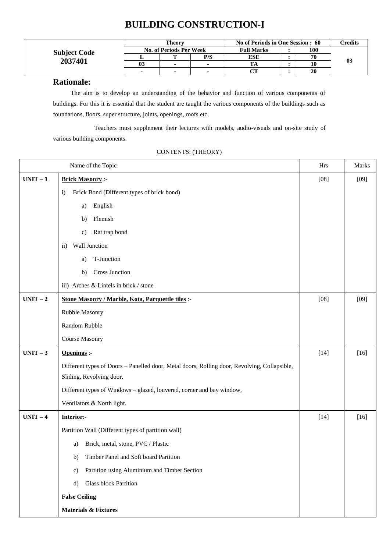# **BUILDING CONSTRUCTION-I**

|                     | <b>Theory</b>                  |   |                | No of Periods in One Session : 60 | Credits |                |
|---------------------|--------------------------------|---|----------------|-----------------------------------|---------|----------------|
| <b>Subject Code</b> | <b>No. of Periods Per Week</b> |   |                | <b>Full Marks</b>                 | 100     |                |
|                     |                                |   | P/S            | <b>ESE</b>                        | 70      |                |
| 2037401             | 03                             |   | $\blacksquare$ | $\mathbf{r}$                      |         | 0 <sup>3</sup> |
|                     |                                | - |                |                                   | 20      |                |

#### **Rationale:**

The aim is to develop an understanding of the behavior and function of various components of buildings. For this it is essential that the student are taught the various components of the buildings such as foundations, floors, super structure, joints, openings, roofs etc.

Teachers must supplement their lectures with models, audio-visuals and on-site study of various building components.

|          | Name of the Topic                                                                            | Hrs    | Marks  |
|----------|----------------------------------------------------------------------------------------------|--------|--------|
| $UNIT-1$ | <b>Brick Masonry:-</b>                                                                       | $[08]$ | $[09]$ |
|          | Brick Bond (Different types of brick bond)<br>$\mathbf{i}$                                   |        |        |
|          | English<br>a)                                                                                |        |        |
|          | Flemish<br>b)                                                                                |        |        |
|          | Rat trap bond<br>$\mathbf{c})$                                                               |        |        |
|          | Wall Junction<br>$\rm ii)$                                                                   |        |        |
|          | T-Junction<br>a)                                                                             |        |        |
|          | <b>Cross Junction</b><br>b)                                                                  |        |        |
|          | iii) Arches & Lintels in brick / stone                                                       |        |        |
| $UNIT-2$ | Stone Masonry / Marble, Kota, Parquettle tiles :-                                            | $[08]$ | $[09]$ |
|          | Rubble Masonry                                                                               |        |        |
|          | Random Rubble                                                                                |        |        |
|          | Course Masonry                                                                               |        |        |
| $UNIT-3$ | <b>Openings</b> :-                                                                           | $[14]$ | $[16]$ |
|          | Different types of Doors - Panelled door, Metal doors, Rolling door, Revolving, Collapsible, |        |        |
|          | Sliding, Revolving door.                                                                     |        |        |
|          | Different types of Windows - glazed, louvered, corner and bay window,                        |        |        |
|          | Ventilators & North light.                                                                   |        |        |
| $UNIT-4$ | Interior:-                                                                                   | $[14]$ | $[16]$ |
|          | Partition Wall (Different types of partition wall)                                           |        |        |
|          | Brick, metal, stone, PVC / Plastic<br>a)                                                     |        |        |
|          | Timber Panel and Soft board Partition<br>b)                                                  |        |        |
|          | Partition using Aluminium and Timber Section<br>$\mathbf{c})$                                |        |        |
|          | Glass block Partition<br>d)                                                                  |        |        |
|          | <b>False Ceiling</b>                                                                         |        |        |
|          | <b>Materials &amp; Fixtures</b>                                                              |        |        |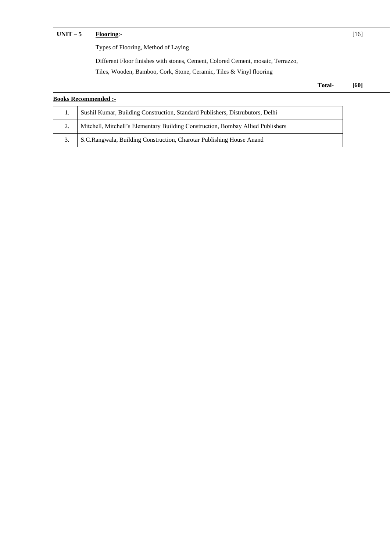| $UNIT-5$ | <b>Flooring:-</b>                                                               | [16] |  |
|----------|---------------------------------------------------------------------------------|------|--|
|          | Types of Flooring, Method of Laying                                             |      |  |
|          | Different Floor finishes with stones, Cement, Colored Cement, mosaic, Terrazzo, |      |  |
|          | Tiles, Wooden, Bamboo, Cork, Stone, Ceramic, Tiles & Vinyl flooring             |      |  |
|          | <b>Total-</b>                                                                   | [60] |  |

## **Books Recommended :-**

| . . | Sushil Kumar, Building Construction, Standard Publishers, Distrubutors, Delhi   |
|-----|---------------------------------------------------------------------------------|
| ٠.  | Mitchell, Mitchell's Elementary Building Construction, Bombay Allied Publishers |
| 3.  | S.C.Rangwala, Building Construction, Charotar Publishing House Anand            |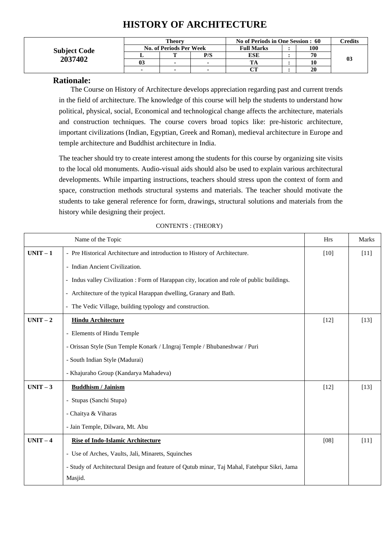# **HISTORY OF ARCHITECTURE**

|                     | Theorv         |                                |     | No of Periods in One Session : 60 | <b><i>Credits</i></b> |    |
|---------------------|----------------|--------------------------------|-----|-----------------------------------|-----------------------|----|
| <b>Subject Code</b> |                | <b>No. of Periods Per Week</b> |     | <b>Full Marks</b>                 | 100                   |    |
|                     | .,             |                                | P/S | ESE                               | 70                    |    |
| 2037402             | 0 <sub>3</sub> | $\overline{\phantom{0}}$       |     | TA                                | 10                    | 03 |
|                     | $\blacksquare$ | $\overline{\phantom{a}}$       | ۰.  | $\sim$                            | 20                    |    |

### **Rationale:**

The Course on History of Architecture develops appreciation regarding past and current trends in the field of architecture. The knowledge of this course will help the students to understand how political, physical, social, Economical and technological change affects the architecture, materials and construction techniques. The course covers broad topics like: pre-historic architecture, important civilizations (Indian, Egyptian, Greek and Roman), medieval architecture in Europe and temple architecture and Buddhist architecture in India.

The teacher should try to create interest among the students for this course by organizing site visits to the local old monuments. Audio-visual aids should also be used to explain various architectural developments. While imparting instructions, teachers should stress upon the context of form and space, construction methods structural systems and materials. The teacher should motivate the students to take general reference for form, drawings, structural solutions and materials from the history while designing their project.

|          | Name of the Topic                                                                           | <b>Hrs</b> | <b>Marks</b> |
|----------|---------------------------------------------------------------------------------------------|------------|--------------|
| $UNIT-1$ | - Pre Historical Architecture and introduction to History of Architecture.                  | $[10]$     | $[11]$       |
|          | - Indian Ancient Civilization.                                                              |            |              |
|          | - Indus valley Civilization : Form of Harappan city, location and role of public buildings. |            |              |
|          | - Architecture of the typical Harappan dwelling, Granary and Bath.                          |            |              |
|          | The Vedic Village, building typology and construction.<br>$\overline{\phantom{a}}$          |            |              |
| $UNIT-2$ | <b>Hindu Architecture</b>                                                                   | $[12]$     | $[13]$       |
|          | - Elements of Hindu Temple                                                                  |            |              |
|          | - Orissan Style (Sun Temple Konark / LIngraj Temple / Bhubaneshwar / Puri                   |            |              |
|          | - South Indian Style (Madurai)                                                              |            |              |
|          | - Khajuraho Group (Kandarya Mahadeva)                                                       |            |              |
| $UNIT-3$ | <b>Buddhism / Jainism</b>                                                                   | $[12]$     | $[13]$       |
|          | - Stupas (Sanchi Stupa)                                                                     |            |              |
|          | - Chaitya & Viharas                                                                         |            |              |
|          | - Jain Temple, Dilwara, Mt. Abu                                                             |            |              |
| $UNIT-4$ | <b>Rise of Indo-Islamic Architecture</b>                                                    | [08]       | $[11]$       |
|          | - Use of Arches, Vaults, Jali, Minarets, Squinches                                          |            |              |
|          | - Study of Architectural Design and feature of Qutub minar, Taj Mahal, Fatehpur Sikri, Jama |            |              |
|          | Masjid.                                                                                     |            |              |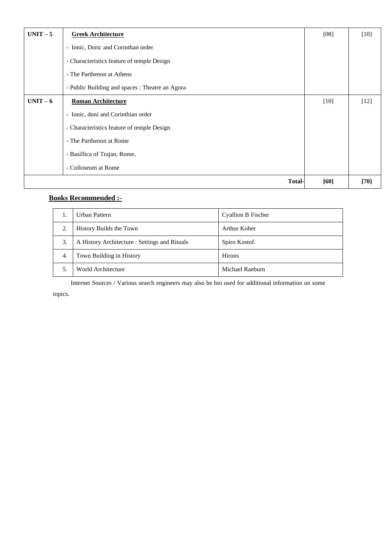| $UNIT-5$ | <b>Greek Architecture</b>                       | [08]   | $[10]$ |
|----------|-------------------------------------------------|--------|--------|
|          | - Ionic, Doric and Corinthan order              |        |        |
|          | - Characteristics feature of temple Design      |        |        |
|          | - The Parthenon at Athens                       |        |        |
|          | - Public Building and spaces : Theatre an Agora |        |        |
| $UNIT-6$ | <b>Roman Architecture</b>                       | $[10]$ | $[12]$ |
|          | - Ionic, doni and Corinthian order              |        |        |
|          | - Characteristics feature of temple Design      |        |        |
|          | - The Parthenon at Rome                         |        |        |
|          | - Basillica of Trajan, Rome,                    |        |        |
|          | - Colloseum at Rome                             |        |        |
|          | <b>Total-</b>                                   | [60]   | $[70]$ |

## **Books Recommended :-**

|    | Urban Pattern                                 | Cyallion B Fischer |
|----|-----------------------------------------------|--------------------|
| 2. | History Builds the Town                       | Arthur Koher       |
| 3. | A History Architecture : Settings and Rituals | Spiro Kostof.      |
| 4. | Town Building in History                      | <b>Hirons</b>      |
|    | World Architecture                            | Michael Raeburn    |

Internet Sources / Various search engineers may also be bio used for additional information on some topics.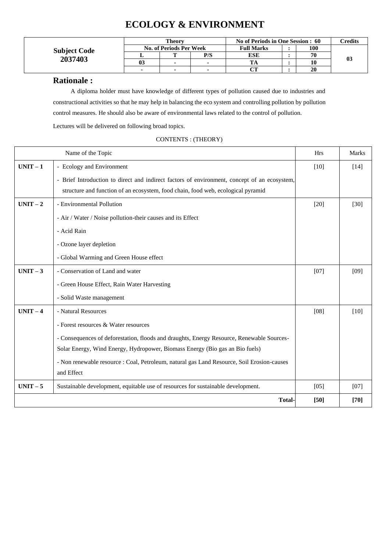# **ECOLOGY & ENVIRONMENT**

|                     |    | <b>Theory</b>                  |                | No of Periods in One Session : 60 | $\Gamma$ redits |    |
|---------------------|----|--------------------------------|----------------|-----------------------------------|-----------------|----|
| <b>Subject Code</b> |    | <b>No. of Periods Per Week</b> |                |                                   | 100             |    |
|                     |    |                                | P/S            | ESE                               | 70              |    |
| 2037403             | 03 |                                | $\mathbf{r}$   |                                   | 10              | 03 |
|                     |    | -                              | $\blacksquare$ |                                   | 20              |    |

#### **Rationale :**

A diploma holder must have knowledge of different types of pollution caused due to industries and constructional activities so that he may help in balancing the eco system and controlling pollution by pollution control measures. He should also be aware of environmental laws related to the control of pollution.

Lectures will be delivered on following broad topics.

|          | Name of the Topic                                                                            | <b>Hrs</b> | <b>Marks</b> |
|----------|----------------------------------------------------------------------------------------------|------------|--------------|
| $UNIT-1$ | - Ecology and Environment                                                                    | $[10]$     | $[14]$       |
|          | - Brief Introduction to direct and indirect factors of environment, concept of an ecosystem, |            |              |
|          | structure and function of an ecosystem, food chain, food web, ecological pyramid             |            |              |
| $UNIT-2$ | - Environmental Pollution                                                                    | $[20]$     | $[30]$       |
|          | - Air / Water / Noise pollution-their causes and its Effect                                  |            |              |
|          | - Acid Rain                                                                                  |            |              |
|          | - Ozone layer depletion                                                                      |            |              |
|          | - Global Warming and Green House effect                                                      |            |              |
| $UNIT-3$ | - Conservation of Land and water                                                             | [07]       | [09]         |
|          | - Green House Effect, Rain Water Harvesting                                                  |            |              |
|          | - Solid Waste management                                                                     |            |              |
| $UNIT-4$ | - Natural Resources                                                                          | [08]       | [10]         |
|          | - Forest resources & Water resources                                                         |            |              |
|          | - Consequences of deforestation, floods and draughts, Energy Resource, Renewable Sources-    |            |              |
|          | Solar Energy, Wind Energy, Hydropower, Biomass Energy (Bio gas an Bio fuels)                 |            |              |
|          | - Non renewable resource : Coal, Petroleum, natural gas Land Resource, Soil Erosion-causes   |            |              |
|          | and Effect                                                                                   |            |              |
| $UNIT-5$ | Sustainable development, equitable use of resources for sustainable development.             | [05]       | [07]         |
|          | <b>Total-</b>                                                                                | [50]       | $[70]$       |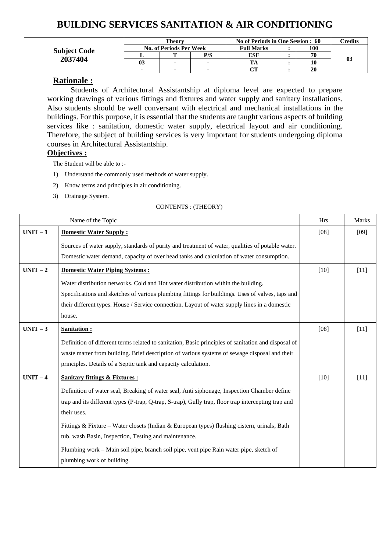# **BUILDING SERVICES SANITATION & AIR CONDITIONING**

|                     | Theorv         |                                |     | No of Periods in One Session : 60 | Credits |    |
|---------------------|----------------|--------------------------------|-----|-----------------------------------|---------|----|
| <b>Subject Code</b> |                | <b>No. of Periods Per Week</b> |     | <b>Full Marks</b>                 | 100     |    |
|                     |                |                                | P/S | <b>ESE</b>                        | 70      |    |
| 2037404             | 0 <sup>3</sup> |                                |     | TА                                | 10      | 03 |
|                     | $\blacksquare$ |                                |     | $\sim$                            | 20      |    |

### **Rationale :**

Students of Architectural Assistantship at diploma level are expected to prepare working drawings of various fittings and fixtures and water supply and sanitary installations. Also students should be well conversant with electrical and mechanical installations in the buildings. For this purpose, it is essential that the students are taught various aspects of building services like : sanitation, domestic water supply, electrical layout and air conditioning. Therefore, the subject of building services is very important for students undergoing diploma courses in Architectural Assistantship.

#### **Objectives :**

The Student will be able to :-

- 1) Understand the commonly used methods of water supply.
- 2) Know terms and principles in air conditioning.
- 3) Drainage System.

|          | Name of the Topic                                                                                   |        |        |
|----------|-----------------------------------------------------------------------------------------------------|--------|--------|
| $UNIT-1$ | <b>Domestic Water Supply:</b>                                                                       | [08]   | [09]   |
|          | Sources of water supply, standards of purity and treatment of water, qualities of potable water.    |        |        |
|          | Domestic water demand, capacity of over head tanks and calculation of water consumption.            |        |        |
| $UNIT-2$ | <b>Domestic Water Piping Systems:</b>                                                               | $[10]$ | $[11]$ |
|          | Water distribution networks. Cold and Hot water distribution within the building.                   |        |        |
|          | Specifications and sketches of various plumbing fittings for buildings. Uses of valves, taps and    |        |        |
|          | their different types. House / Service connection. Layout of water supply lines in a domestic       |        |        |
|          | house.                                                                                              |        |        |
| $UNIT-3$ | <b>Sanitation:</b>                                                                                  | [08]   | $[11]$ |
|          | Definition of different terms related to sanitation, Basic principles of sanitation and disposal of |        |        |
|          | waste matter from building. Brief description of various systems of sewage disposal and their       |        |        |
|          | principles. Details of a Septic tank and capacity calculation.                                      |        |        |
| $UNIT-4$ | <b>Sanitary fittings &amp; Fixtures:</b>                                                            | $[10]$ | $[11]$ |
|          | Definition of water seal, Breaking of water seal, Anti siphonage, Inspection Chamber define         |        |        |
|          | trap and its different types (P-trap, Q-trap, S-trap), Gully trap, floor trap intercepting trap and |        |        |
|          | their uses.                                                                                         |        |        |
|          | Fittings & Fixture – Water closets (Indian & European types) flushing cistern, urinals, Bath        |        |        |
|          | tub, wash Basin, Inspection, Testing and maintenance.                                               |        |        |
|          | Plumbing work - Main soil pipe, branch soil pipe, vent pipe Rain water pipe, sketch of              |        |        |
|          | plumbing work of building.                                                                          |        |        |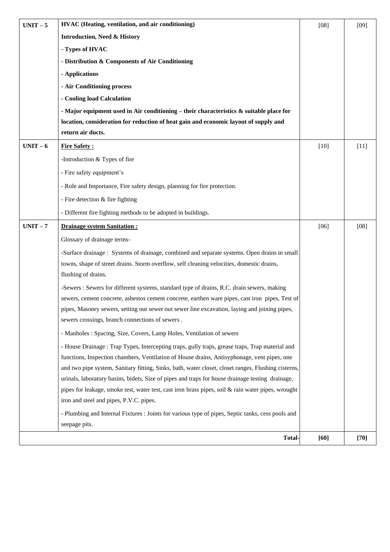| $UNIT - 5$ | HVAC (Heating, ventilation, and air conditioning)                                                                                                                                              | [08]   | $[09]$ |
|------------|------------------------------------------------------------------------------------------------------------------------------------------------------------------------------------------------|--------|--------|
|            | <b>Introduction, Need &amp; History</b>                                                                                                                                                        |        |        |
|            | - Types of HVAC                                                                                                                                                                                |        |        |
|            | - Distribution & Components of Air Conditioning                                                                                                                                                |        |        |
|            | - Applications                                                                                                                                                                                 |        |        |
|            | - Air Conditioning process                                                                                                                                                                     |        |        |
|            | - Cooling load Calculation                                                                                                                                                                     |        |        |
|            | - Major equipment used in Air conditioning – their characteristics $\&$ suitable place for                                                                                                     |        |        |
|            | location, consideration for reduction of heat gain and economic layout of supply and                                                                                                           |        |        |
|            | return air ducts.                                                                                                                                                                              |        |        |
| $UNIT-6$   | <b>Fire Safety:</b>                                                                                                                                                                            | $[10]$ | $[11]$ |
|            | -Introduction & Types of fire                                                                                                                                                                  |        |        |
|            | - Fire safety equipment's                                                                                                                                                                      |        |        |
|            | - Role and Importance, Fire safety design, planning for fire protection.                                                                                                                       |        |        |
|            | - Fire detection & fire fighting                                                                                                                                                               |        |        |
|            | - Different fire fighting methods to be adopted in buildings.                                                                                                                                  |        |        |
| $UNIT - 7$ | <b>Drainage system Sanitation:</b>                                                                                                                                                             | [06]   | $[08]$ |
|            | Glossary of drainage terms-                                                                                                                                                                    |        |        |
|            | -Surface drainage : Systems of drainage, combined and separate systems. Open drains in small                                                                                                   |        |        |
|            | towns, shape of street drains. Storm overflow, self cleaning velocities, domestic drains,                                                                                                      |        |        |
|            | flushing of drains.                                                                                                                                                                            |        |        |
|            | -Sewers : Sewers for different systems, standard type of drains, R.C. drain sewers, making                                                                                                     |        |        |
|            | sewers, cement concrete, asbestos cement concrete, earthen ware pipes, cast iron pipes, Test of                                                                                                |        |        |
|            | pipes, Masonry sewers, setting out sewer out sewer line excavation, laying and joining pipes,<br>sewers crossings, branch connections of sewers.                                               |        |        |
|            |                                                                                                                                                                                                |        |        |
|            | - Manholes: Spacing, Size, Covers, Lamp Holes, Ventilation of sewers                                                                                                                           |        |        |
|            | - House Drainage : Trap Types, Intercepting traps, gully traps, grease traps, Trap material and<br>functions, Inspection chambers, Ventilation of House drains, Antisyphonage, vent pipes, one |        |        |
|            | and two pipe system, Sanitary fitting, Sinks, bath, water closet, closet ranges, Flushing cisterns,                                                                                            |        |        |
|            | urinals, laboratory basins, bidets, Size of pipes and traps for house drainage testing drainage,                                                                                               |        |        |
|            | pipes for leakage, smoke test, water test, cast iron brass pipes, soil & rain water pipes, wrought                                                                                             |        |        |
|            | iron and steel and pipes, P.V.C. pipes.                                                                                                                                                        |        |        |
|            | - Plumbing and Internal Fixtures : Joints for various type of pipes, Septic tanks, cess pools and                                                                                              |        |        |
|            | seepage pits.                                                                                                                                                                                  |        |        |
|            | <b>Total-</b>                                                                                                                                                                                  | $[60]$ | $[70]$ |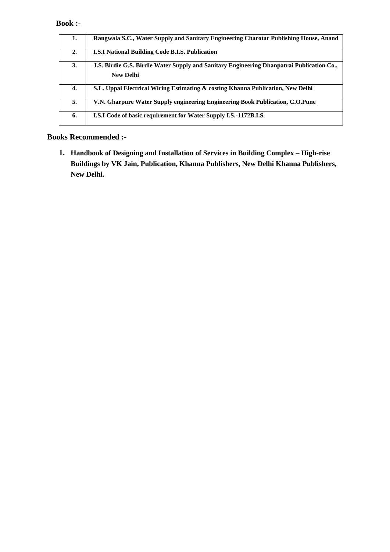#### **Book :-**

| 1. | Rangwala S.C., Water Supply and Sanitary Engineering Charotar Publishing House, Anand                         |
|----|---------------------------------------------------------------------------------------------------------------|
| 2. | <b>I.S.I National Building Code B.I.S. Publication</b>                                                        |
| 3. | J.S. Birdie G.S. Birdie Water Supply and Sanitary Engineering Dhanpatrai Publication Co.,<br><b>New Delhi</b> |
| 4. | S.L. Uppal Electrical Wiring Estimating & costing Khanna Publication, New Delhi                               |
| 5. | V.N. Gharpure Water Supply engineering Engineering Book Publication, C.O.Pune                                 |
| 6. | <b>I.S.I Code of basic requirement for Water Supply I.S.-1172B.I.S.</b>                                       |

### **Books Recommended :-**

**1. Handbook of Designing and Installation of Services in Building Complex – High-rise Buildings by VK Jain, Publication, Khanna Publishers, New Delhi Khanna Publishers, New Delhi.**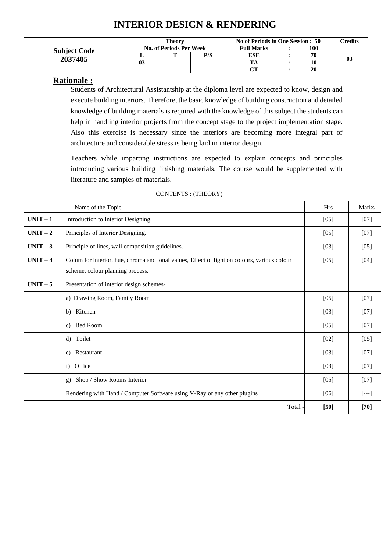# **INTERIOR DESIGN & RENDERING**

|                     |    | <b>Theory</b>                  |     | No of Periods in One Session : 50 | <b><i>Credits</i></b> |    |
|---------------------|----|--------------------------------|-----|-----------------------------------|-----------------------|----|
| <b>Subject Code</b> |    | <b>No. of Periods Per Week</b> |     | <b>Full Marks</b>                 | 100                   |    |
|                     |    |                                | P/S | ESE                               | 70                    |    |
| 2037405             | 03 | ٠                              |     | TA                                | 10                    | 03 |
|                     |    | $\sim$                         |     | $\alpha$ tt                       | 20                    |    |

### **Rationale :**

Students of Architectural Assistantship at the diploma level are expected to know, design and execute building interiors. Therefore, the basic knowledge of building construction and detailed knowledge of building materials is required with the knowledge of this subject the students can help in handling interior projects from the concept stage to the project implementation stage. Also this exercise is necessary since the interiors are becoming more integral part of architecture and considerable stress is being laid in interior design.

Teachers while imparting instructions are expected to explain concepts and principles introducing various building finishing materials. The course would be supplemented with literature and samples of materials.

|          | Name of the Topic                                                                                                                | <b>Hrs</b> | <b>Marks</b>         |
|----------|----------------------------------------------------------------------------------------------------------------------------------|------------|----------------------|
| $UNIT-1$ | Introduction to Interior Designing.                                                                                              | [05]       | $[07]$               |
| $UNIT-2$ | Principles of Interior Designing.                                                                                                | [05]       | $[07]$               |
| $UNIT-3$ | Principle of lines, wall composition guidelines.                                                                                 | $[03]$     | $[05]$               |
| $UNIT-4$ | Colum for interior, hue, chroma and tonal values, Effect of light on colours, various colour<br>scheme, colour planning process. | [05]       | $[04]$               |
| $UNIT-5$ | Presentation of interior design schemes-                                                                                         |            |                      |
|          | a) Drawing Room, Family Room                                                                                                     | [05]       | $[07]$               |
|          | b) Kitchen                                                                                                                       | [03]       | $[07]$               |
|          | c) Bed Room                                                                                                                      | [05]       | $[07]$               |
|          | Toilet<br>d)                                                                                                                     | $[02]$     | $[05]$               |
|          | Restaurant<br>e)                                                                                                                 | $[03]$     | $[07]$               |
|          | Office<br>$f$ )                                                                                                                  | $[03]$     | $[07]$               |
|          | Shop / Show Rooms Interior<br>g)                                                                                                 | [05]       | [07]                 |
|          | Rendering with Hand / Computer Software using V-Ray or any other plugins                                                         | [06]       | $\left[ - - \right]$ |
|          | Total -                                                                                                                          | [50]       | $[70]$               |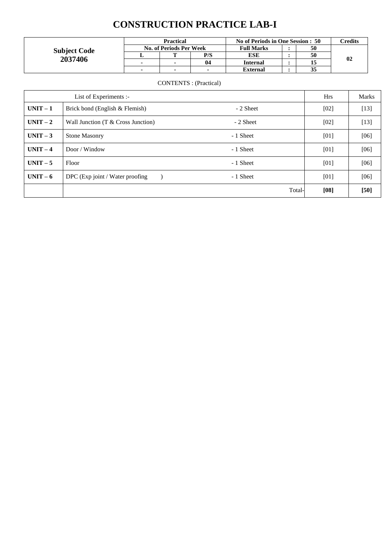# **CONSTRUCTION PRACTICE LAB-I**

| <b>Subject Code</b><br>2037406 | <b>Practical</b>               |                          |                | No of Periods in One Session : 50 |  |    | Credits        |
|--------------------------------|--------------------------------|--------------------------|----------------|-----------------------------------|--|----|----------------|
|                                | <b>No. of Periods Per Week</b> |                          |                | <b>Full Marks</b>                 |  | 50 |                |
|                                |                                |                          | P/S            | ESE                               |  | 50 |                |
|                                |                                | $\blacksquare$           | 04             | <b>Internal</b>                   |  |    | 0 <sub>2</sub> |
|                                |                                | $\overline{\phantom{a}}$ | $\blacksquare$ | <b>External</b>                   |  | 33 |                |

|          | List of Experiments :-               |           | <b>Hrs</b> | <b>Marks</b> |
|----------|--------------------------------------|-----------|------------|--------------|
| $UNIT-1$ | Brick bond (English & Flemish)       | - 2 Sheet | [02]       | $[13]$       |
| $UNIT-2$ | Wall Junction $(T & Cross$ Junction) | - 2 Sheet | [02]       | $[13]$       |
| $UNIT-3$ | <b>Stone Masonry</b>                 | - 1 Sheet | [01]       | [06]         |
| $UNIT-4$ | Door / Window                        | - 1 Sheet | [01]       | [06]         |
| $UNIT-5$ | Floor                                | - 1 Sheet | [01]       | [06]         |
| $UNIT-6$ | DPC (Exp joint / Water proofing      | - 1 Sheet | [01]       | [06]         |
|          |                                      | Total-    | [08]       | $[50]$       |

#### CONTENTS : (Practical)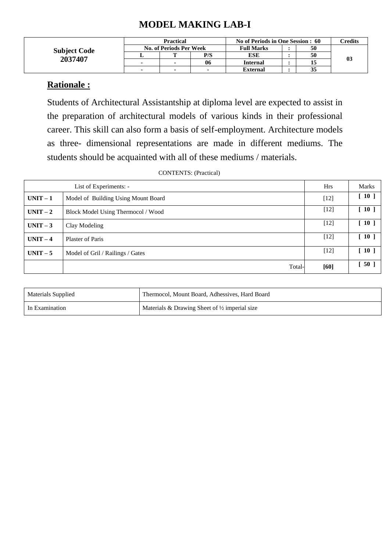# **MODEL MAKING LAB-I**

|                     | Practical                |                                |                | No of Periods in One Session : 60 |  |    | <b>Tredits</b> |  |
|---------------------|--------------------------|--------------------------------|----------------|-----------------------------------|--|----|----------------|--|
| <b>Subject Code</b> |                          | <b>No. of Periods Per Week</b> |                | <b>Full Marks</b>                 |  |    |                |  |
|                     |                          |                                | P/S            | ESE                               |  | 50 |                |  |
| 2037407             |                          |                                | 06             | <b>Internal</b>                   |  |    | 0 <sup>3</sup> |  |
|                     | $\overline{\phantom{0}}$ |                                | $\blacksquare$ | <b>External</b>                   |  | 35 |                |  |

## **Rationale :**

Students of Architectural Assistantship at diploma level are expected to assist in the preparation of architectural models of various kinds in their professional career. This skill can also form a basis of self-employment. Architecture models as three- dimensional representations are made in different mediums. The students should be acquainted with all of these mediums / materials.

| CONTENTS: (Practical) |  |
|-----------------------|--|
|-----------------------|--|

|          | List of Experiments: -              | <b>Hrs</b> | <b>Marks</b> |
|----------|-------------------------------------|------------|--------------|
| $UNIT-1$ | Model of Building Using Mount Board | $[12]$     | [10]         |
| $UNIT-2$ | Block Model Using Thermocol / Wood  | $[12]$     | $[10]$       |
| $UNIT-3$ | Clay Modeling                       | $[12]$     | $[10]$       |
| $UNIT-4$ | <b>Plaster of Paris</b>             | $[12]$     | $[10]$       |
| $UNIT-5$ | Model of Gril / Railings / Gates    | $[12]$     | [10]         |
|          | Total-                              | [60]       | $[50]$       |

| <b>Materials Supplied</b> | Thermocol, Mount Board, Adhessives, Hard Board           |
|---------------------------|----------------------------------------------------------|
| In Examination            | Materials & Drawing Sheet of $\frac{1}{2}$ imperial size |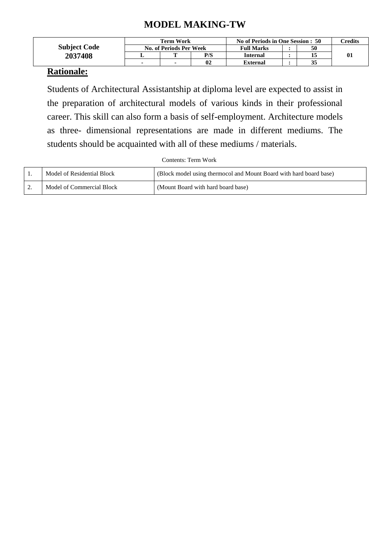# **MODEL MAKING-TW**

|                     | <b>Term Work</b> |                                |     | No of Periods in One Session : 50 |  |    | $\alpha$ redits |
|---------------------|------------------|--------------------------------|-----|-----------------------------------|--|----|-----------------|
| <b>Subject Code</b> |                  | <b>No. of Periods Per Week</b> |     | 50<br><b>Full Marks</b>           |  |    |                 |
| 2037408             |                  |                                | P/S | <b>Internal</b>                   |  |    | $\mathbf{0}$    |
|                     |                  |                                | 02  | <b>External</b>                   |  | 35 |                 |

# **Rationale:**

Students of Architectural Assistantship at diploma level are expected to assist in the preparation of architectural models of various kinds in their professional career. This skill can also form a basis of self-employment. Architecture models as three- dimensional representations are made in different mediums. The students should be acquainted with all of these mediums / materials.

Contents: Term Work

|          | Model of Residential Block | (Block model using thermocol and Mount Board with hard board base) |
|----------|----------------------------|--------------------------------------------------------------------|
| <u>.</u> | Model of Commercial Block  | (Mount Board with hard board base)                                 |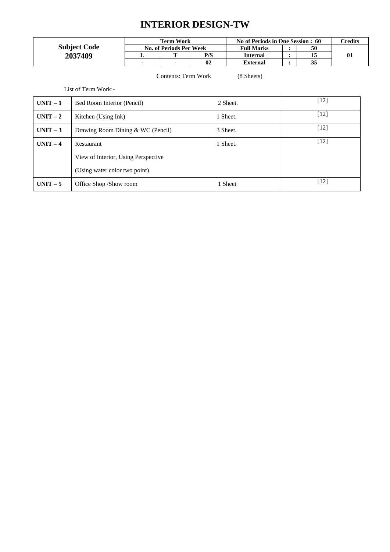# **INTERIOR DESIGN-TW**

|                     | Term Work                      | No of Periods in One Session : 60 |                         |  | C <b>redits</b> |          |
|---------------------|--------------------------------|-----------------------------------|-------------------------|--|-----------------|----------|
| <b>Subject Code</b> | <b>No. of Periods Per Week</b> |                                   | 50<br><b>Full Marks</b> |  |                 |          |
| 2037409             | m                              | P/S                               | <b>Internal</b>         |  |                 | $\bf{0}$ |
|                     |                                | 02                                | <b>External</b>         |  | 35              |          |

#### Contents: Term Work (8 Sheets)

List of Term Work:-

| $UNIT-1$ | Bed Room Interior (Pencil)          | 2 Sheet. | $[12]$ |
|----------|-------------------------------------|----------|--------|
| $UNIT-2$ | Kitchen (Using Ink)                 | 1 Sheet. | $[12]$ |
| $UNIT-3$ | Drawing Room Dining & WC (Pencil)   | 3 Sheet. | $[12]$ |
| $UNIT-4$ | Restaurant                          | 1 Sheet. | $[12]$ |
|          | View of Interior, Using Perspective |          |        |
|          | (Using water color two point)       |          |        |
| $UNIT-5$ | Office Shop /Show room              | Sheet    | $[12]$ |